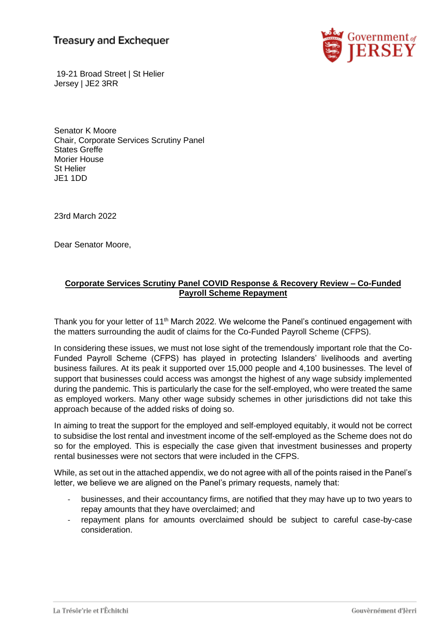# **Treasury and Exchequer**



19-21 Broad Street | St Helier Jersey | JE2 3RR

Senator K Moore Chair, Corporate Services Scrutiny Panel States Greffe Morier House St Helier JE1 1DD

23rd March 2022

Dear Senator Moore,

# **Corporate Services Scrutiny Panel COVID Response & Recovery Review – Co-Funded Payroll Scheme Repayment**

Thank you for your letter of 11<sup>th</sup> March 2022. We welcome the Panel's continued engagement with the matters surrounding the audit of claims for the Co-Funded Payroll Scheme (CFPS).

In considering these issues, we must not lose sight of the tremendously important role that the Co-Funded Payroll Scheme (CFPS) has played in protecting Islanders' livelihoods and averting business failures. At its peak it supported over 15,000 people and 4,100 businesses. The level of support that businesses could access was amongst the highest of any wage subsidy implemented during the pandemic. This is particularly the case for the self-employed, who were treated the same as employed workers. Many other wage subsidy schemes in other jurisdictions did not take this approach because of the added risks of doing so.

In aiming to treat the support for the employed and self-employed equitably, it would not be correct to subsidise the lost rental and investment income of the self-employed as the Scheme does not do so for the employed. This is especially the case given that investment businesses and property rental businesses were not sectors that were included in the CFPS.

While, as set out in the attached appendix, we do not agree with all of the points raised in the Panel's letter, we believe we are aligned on the Panel's primary requests, namely that:

- businesses, and their accountancy firms, are notified that they may have up to two years to repay amounts that they have overclaimed; and
- repayment plans for amounts overclaimed should be subject to careful case-by-case consideration.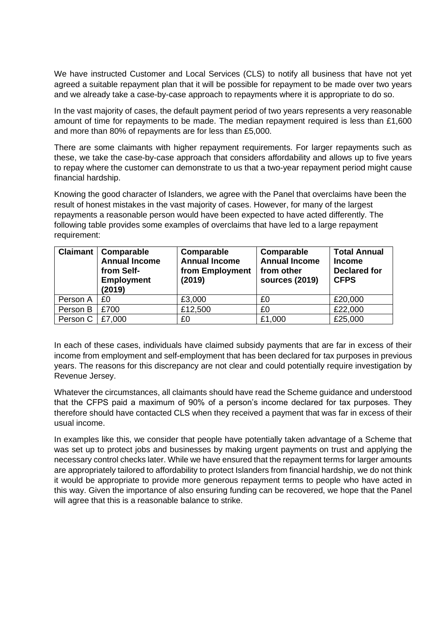We have instructed Customer and Local Services (CLS) to notify all business that have not yet agreed a suitable repayment plan that it will be possible for repayment to be made over two years and we already take a case-by-case approach to repayments where it is appropriate to do so.

In the vast majority of cases, the default payment period of two years represents a very reasonable amount of time for repayments to be made. The median repayment required is less than £1,600 and more than 80% of repayments are for less than £5,000.

There are some claimants with higher repayment requirements. For larger repayments such as these, we take the case-by-case approach that considers affordability and allows up to five years to repay where the customer can demonstrate to us that a two-year repayment period might cause financial hardship.

Knowing the good character of Islanders, we agree with the Panel that overclaims have been the result of honest mistakes in the vast majority of cases. However, for many of the largest repayments a reasonable person would have been expected to have acted differently. The following table provides some examples of overclaims that have led to a large repayment requirement:

| <b>Claimant</b> | <b>Comparable</b><br><b>Annual Income</b><br>from Self-<br><b>Employment</b><br>(2019) | Comparable<br><b>Annual Income</b><br>from Employment<br>(2019) | Comparable<br><b>Annual Income</b><br>from other<br>sources (2019) | <b>Total Annual</b><br><b>Income</b><br><b>Declared for</b><br><b>CFPS</b> |
|-----------------|----------------------------------------------------------------------------------------|-----------------------------------------------------------------|--------------------------------------------------------------------|----------------------------------------------------------------------------|
| Person A        | £0                                                                                     | £3,000                                                          | £0                                                                 | £20,000                                                                    |
| Person B        | £700                                                                                   | £12,500                                                         | £0                                                                 | £22,000                                                                    |
| Person C        | £7,000                                                                                 | £0                                                              | £1,000                                                             | £25,000                                                                    |

In each of these cases, individuals have claimed subsidy payments that are far in excess of their income from employment and self-employment that has been declared for tax purposes in previous years. The reasons for this discrepancy are not clear and could potentially require investigation by Revenue Jersey.

Whatever the circumstances, all claimants should have read the Scheme guidance and understood that the CFPS paid a maximum of 90% of a person's income declared for tax purposes. They therefore should have contacted CLS when they received a payment that was far in excess of their usual income.

In examples like this, we consider that people have potentially taken advantage of a Scheme that was set up to protect jobs and businesses by making urgent payments on trust and applying the necessary control checks later. While we have ensured that the repayment terms for larger amounts are appropriately tailored to affordability to protect Islanders from financial hardship, we do not think it would be appropriate to provide more generous repayment terms to people who have acted in this way. Given the importance of also ensuring funding can be recovered, we hope that the Panel will agree that this is a reasonable balance to strike.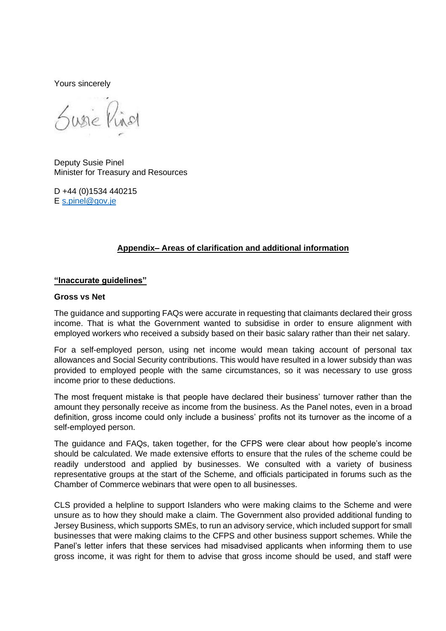Yours sincerely

Susie Pinal

Deputy Susie Pinel Minister for Treasury and Resources

D +44 (0)1534 440215 E [s.pinel@gov.je](mailto:s.pinel@gov.je)

# **Appendix– Areas of clarification and additional information**

#### **"Inaccurate guidelines"**

#### **Gross vs Net**

The guidance and supporting FAQs were accurate in requesting that claimants declared their gross income. That is what the Government wanted to subsidise in order to ensure alignment with employed workers who received a subsidy based on their basic salary rather than their net salary.

For a self-employed person, using net income would mean taking account of personal tax allowances and Social Security contributions. This would have resulted in a lower subsidy than was provided to employed people with the same circumstances, so it was necessary to use gross income prior to these deductions.

The most frequent mistake is that people have declared their business' turnover rather than the amount they personally receive as income from the business. As the Panel notes, even in a broad definition, gross income could only include a business' profits not its turnover as the income of a self-employed person.

The guidance and FAQs, taken together, for the CFPS were clear about how people's income should be calculated. We made extensive efforts to ensure that the rules of the scheme could be readily understood and applied by businesses. We consulted with a variety of business representative groups at the start of the Scheme, and officials participated in forums such as the Chamber of Commerce webinars that were open to all businesses.

CLS provided a helpline to support Islanders who were making claims to the Scheme and were unsure as to how they should make a claim. The Government also provided additional funding to Jersey Business, which supports SMEs, to run an advisory service, which included support for small businesses that were making claims to the CFPS and other business support schemes. While the Panel's letter infers that these services had misadvised applicants when informing them to use gross income, it was right for them to advise that gross income should be used, and staff were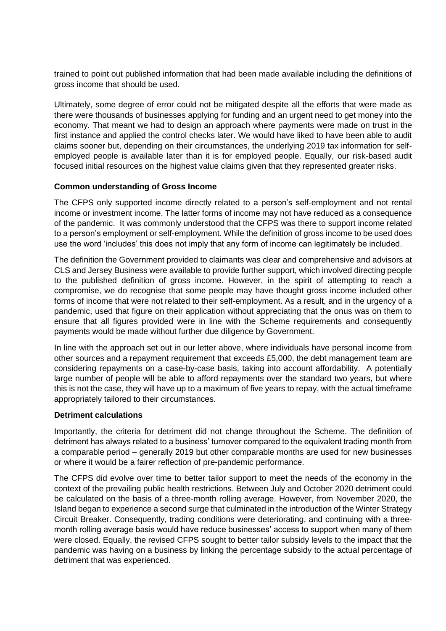trained to point out published information that had been made available including the definitions of gross income that should be used.

Ultimately, some degree of error could not be mitigated despite all the efforts that were made as there were thousands of businesses applying for funding and an urgent need to get money into the economy. That meant we had to design an approach where payments were made on trust in the first instance and applied the control checks later. We would have liked to have been able to audit claims sooner but, depending on their circumstances, the underlying 2019 tax information for selfemployed people is available later than it is for employed people. Equally, our risk-based audit focused initial resources on the highest value claims given that they represented greater risks.

#### **Common understanding of Gross Income**

The CFPS only supported income directly related to a person's self-employment and not rental income or investment income. The latter forms of income may not have reduced as a consequence of the pandemic. It was commonly understood that the CFPS was there to support income related to a person's employment or self-employment. While the definition of gross income to be used does use the word 'includes' this does not imply that any form of income can legitimately be included.

The definition the Government provided to claimants was clear and comprehensive and advisors at CLS and Jersey Business were available to provide further support, which involved directing people to the published definition of gross income. However, in the spirit of attempting to reach a compromise, we do recognise that some people may have thought gross income included other forms of income that were not related to their self-employment. As a result, and in the urgency of a pandemic, used that figure on their application without appreciating that the onus was on them to ensure that all figures provided were in line with the Scheme requirements and consequently payments would be made without further due diligence by Government.

In line with the approach set out in our letter above, where individuals have personal income from other sources and a repayment requirement that exceeds £5,000, the debt management team are considering repayments on a case-by-case basis, taking into account affordability. A potentially large number of people will be able to afford repayments over the standard two years, but where this is not the case, they will have up to a maximum of five years to repay, with the actual timeframe appropriately tailored to their circumstances.

#### **Detriment calculations**

Importantly, the criteria for detriment did not change throughout the Scheme. The definition of detriment has always related to a business' turnover compared to the equivalent trading month from a comparable period – generally 2019 but other comparable months are used for new businesses or where it would be a fairer reflection of pre-pandemic performance.

The CFPS did evolve over time to better tailor support to meet the needs of the economy in the context of the prevailing public health restrictions. Between July and October 2020 detriment could be calculated on the basis of a three-month rolling average. However, from November 2020, the Island began to experience a second surge that culminated in the introduction of the Winter Strategy Circuit Breaker. Consequently, trading conditions were deteriorating, and continuing with a threemonth rolling average basis would have reduce businesses' access to support when many of them were closed. Equally, the revised CFPS sought to better tailor subsidy levels to the impact that the pandemic was having on a business by linking the percentage subsidy to the actual percentage of detriment that was experienced.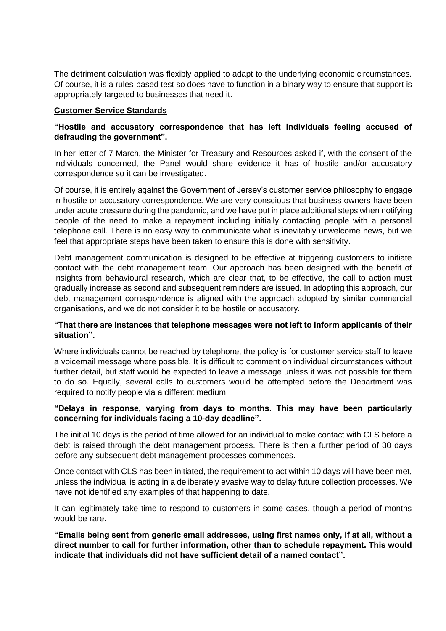The detriment calculation was flexibly applied to adapt to the underlying economic circumstances. Of course, it is a rules-based test so does have to function in a binary way to ensure that support is appropriately targeted to businesses that need it.

#### **Customer Service Standards**

## **"Hostile and accusatory correspondence that has left individuals feeling accused of defrauding the government".**

In her letter of 7 March, the Minister for Treasury and Resources asked if, with the consent of the individuals concerned, the Panel would share evidence it has of hostile and/or accusatory correspondence so it can be investigated.

Of course, it is entirely against the Government of Jersey's customer service philosophy to engage in hostile or accusatory correspondence. We are very conscious that business owners have been under acute pressure during the pandemic, and we have put in place additional steps when notifying people of the need to make a repayment including initially contacting people with a personal telephone call. There is no easy way to communicate what is inevitably unwelcome news, but we feel that appropriate steps have been taken to ensure this is done with sensitivity.

Debt management communication is designed to be effective at triggering customers to initiate contact with the debt management team. Our approach has been designed with the benefit of insights from behavioural research, which are clear that, to be effective, the call to action must gradually increase as second and subsequent reminders are issued. In adopting this approach, our debt management correspondence is aligned with the approach adopted by similar commercial organisations, and we do not consider it to be hostile or accusatory.

#### **"That there are instances that telephone messages were not left to inform applicants of their situation".**

Where individuals cannot be reached by telephone, the policy is for customer service staff to leave a voicemail message where possible. It is difficult to comment on individual circumstances without further detail, but staff would be expected to leave a message unless it was not possible for them to do so. Equally, several calls to customers would be attempted before the Department was required to notify people via a different medium.

#### **"Delays in response, varying from days to months. This may have been particularly concerning for individuals facing a 10-day deadline".**

The initial 10 days is the period of time allowed for an individual to make contact with CLS before a debt is raised through the debt management process. There is then a further period of 30 days before any subsequent debt management processes commences.

Once contact with CLS has been initiated, the requirement to act within 10 days will have been met, unless the individual is acting in a deliberately evasive way to delay future collection processes. We have not identified any examples of that happening to date.

It can legitimately take time to respond to customers in some cases, though a period of months would be rare.

**"Emails being sent from generic email addresses, using first names only, if at all, without a direct number to call for further information, other than to schedule repayment. This would indicate that individuals did not have sufficient detail of a named contact".**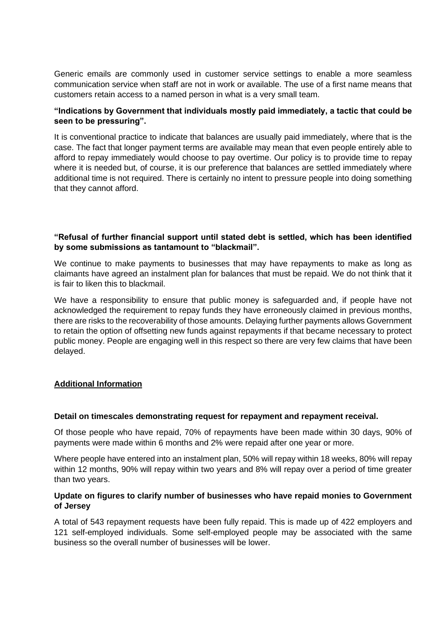Generic emails are commonly used in customer service settings to enable a more seamless communication service when staff are not in work or available. The use of a first name means that customers retain access to a named person in what is a very small team.

## **"Indications by Government that individuals mostly paid immediately, a tactic that could be seen to be pressuring".**

It is conventional practice to indicate that balances are usually paid immediately, where that is the case. The fact that longer payment terms are available may mean that even people entirely able to afford to repay immediately would choose to pay overtime. Our policy is to provide time to repay where it is needed but, of course, it is our preference that balances are settled immediately where additional time is not required. There is certainly no intent to pressure people into doing something that they cannot afford.

## **"Refusal of further financial support until stated debt is settled, which has been identified by some submissions as tantamount to "blackmail".**

We continue to make payments to businesses that may have repayments to make as long as claimants have agreed an instalment plan for balances that must be repaid. We do not think that it is fair to liken this to blackmail.

We have a responsibility to ensure that public money is safeguarded and, if people have not acknowledged the requirement to repay funds they have erroneously claimed in previous months, there are risks to the recoverability of those amounts. Delaying further payments allows Government to retain the option of offsetting new funds against repayments if that became necessary to protect public money. People are engaging well in this respect so there are very few claims that have been delayed.

#### **Additional Information**

#### **Detail on timescales demonstrating request for repayment and repayment receival.**

Of those people who have repaid, 70% of repayments have been made within 30 days, 90% of payments were made within 6 months and 2% were repaid after one year or more.

Where people have entered into an instalment plan, 50% will repay within 18 weeks, 80% will repay within 12 months, 90% will repay within two years and 8% will repay over a period of time greater than two years.

#### **Update on figures to clarify number of businesses who have repaid monies to Government of Jersey**

A total of 543 repayment requests have been fully repaid. This is made up of 422 employers and 121 self-employed individuals. Some self-employed people may be associated with the same business so the overall number of businesses will be lower.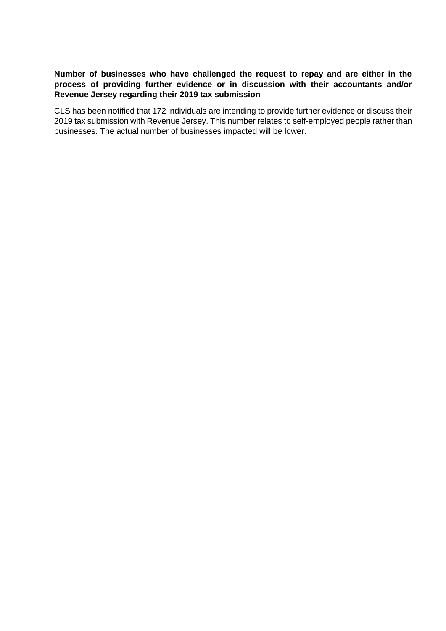### **Number of businesses who have challenged the request to repay and are either in the process of providing further evidence or in discussion with their accountants and/or Revenue Jersey regarding their 2019 tax submission**

CLS has been notified that 172 individuals are intending to provide further evidence or discuss their 2019 tax submission with Revenue Jersey. This number relates to self-employed people rather than businesses. The actual number of businesses impacted will be lower.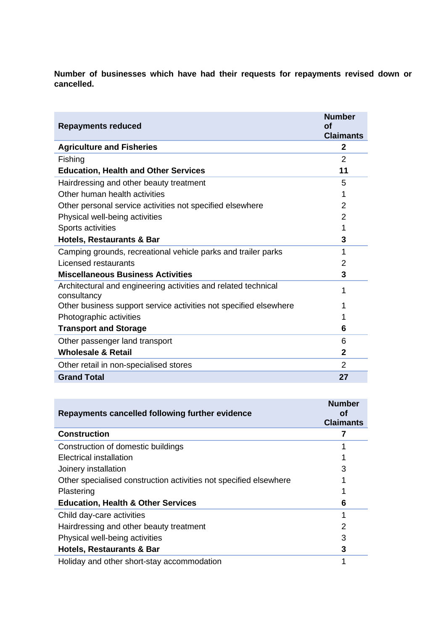**Number of businesses which have had their requests for repayments revised down or cancelled.** 

| <b>Repayments reduced</b>                                                     | <b>Number</b><br>οf<br><b>Claimants</b> |
|-------------------------------------------------------------------------------|-----------------------------------------|
| <b>Agriculture and Fisheries</b>                                              | $\mathbf{2}$                            |
| Fishing                                                                       | 2                                       |
| <b>Education, Health and Other Services</b>                                   | 11                                      |
| Hairdressing and other beauty treatment                                       | 5                                       |
| Other human health activities                                                 | 1                                       |
| Other personal service activities not specified elsewhere                     | 2                                       |
| Physical well-being activities                                                | 2                                       |
| Sports activities                                                             | 1                                       |
| <b>Hotels, Restaurants &amp; Bar</b>                                          | 3                                       |
| Camping grounds, recreational vehicle parks and trailer parks                 | 1                                       |
| Licensed restaurants                                                          | 2                                       |
| <b>Miscellaneous Business Activities</b>                                      | 3                                       |
| Architectural and engineering activities and related technical<br>consultancy | 1                                       |
| Other business support service activities not specified elsewhere             |                                         |
| Photographic activities                                                       |                                         |
| <b>Transport and Storage</b>                                                  | 6                                       |
| Other passenger land transport                                                | 6                                       |
| <b>Wholesale &amp; Retail</b>                                                 | $\mathbf{2}$                            |
| Other retail in non-specialised stores                                        | 2                                       |
| <b>Grand Total</b>                                                            | 27                                      |

| Repayments cancelled following further evidence                   | <b>Number</b><br>οf<br><b>Claimants</b> |
|-------------------------------------------------------------------|-----------------------------------------|
| <b>Construction</b>                                               |                                         |
| Construction of domestic buildings                                |                                         |
| Electrical installation                                           |                                         |
| Joinery installation                                              | 3                                       |
| Other specialised construction activities not specified elsewhere |                                         |
| Plastering                                                        |                                         |
| <b>Education, Health &amp; Other Services</b>                     | 6                                       |
| Child day-care activities                                         |                                         |
| Hairdressing and other beauty treatment                           | 2                                       |
| Physical well-being activities                                    | 3                                       |
| <b>Hotels, Restaurants &amp; Bar</b>                              | 3                                       |
| Holiday and other short-stay accommodation                        |                                         |